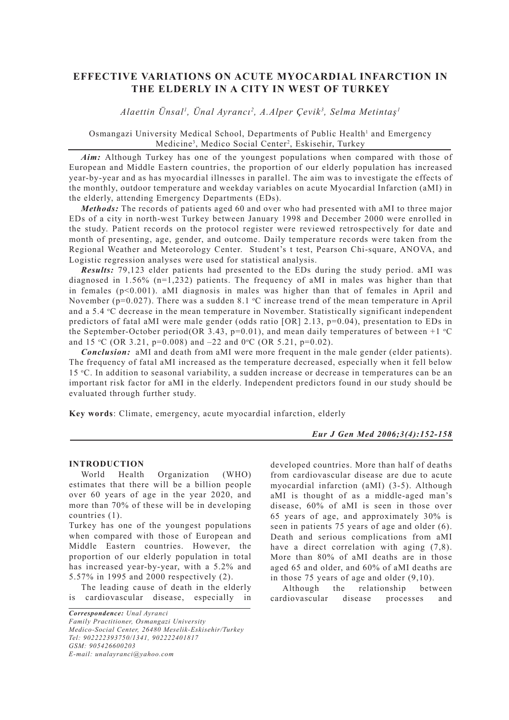# **EFFECTIVE VARIATIONS ON ACUTE MYOCARDIAL INFARCTION IN THE ELDERLY IN A CITY IN WEST OF TURKEY**

*Alaettin Ünsal1 , Ünal Ayrancı2 , A.Alper Çevik3 , Selma Metintaş1*

# Osmangazi University Medical School, Departments of Public Health<sup>1</sup> and Emergency Medicine3 , Medico Social Center2 , Eskisehir, Turkey

*Aim:* Although Turkey has one of the youngest populations when compared with those of European and Middle Eastern countries, the proportion of our elderly population has increased year-by-year and as has myocardial illnesses in parallel. The aim was to investigate the effects of the monthly, outdoor temperature and weekday variables on acute Myocardial Infarction (aMI) in the elderly, attending Emergency Departments (EDs).

*Methods:* The records of patients aged 60 and over who had presented with aMI to three major EDs of a city in north-west Turkey between January 1998 and December 2000 were enrolled in the study. Patient records on the protocol register were reviewed retrospectively for date and month of presenting, age, gender, and outcome. Daily temperature records were taken from the Regional Weather and Meteorology Center. Student's t test, Pearson Chi-square, ANOVA, and Logistic regression analyses were used for statistical analysis.

*Results:* 79,123 elder patients had presented to the EDs during the study period. aMI was diagnosed in 1.56% (n=1,232) patients. The frequency of aMI in males was higher than that in females  $(p<0.001)$ . aMI diagnosis in males was higher than that of females in April and November ( $p=0.027$ ). There was a sudden 8.1 °C increase trend of the mean temperature in April and a 5.4 °C decrease in the mean temperature in November. Statistically significant independent predictors of fatal aMI were male gender (odds ratio [OR] 2.13, p=0.04), presentation to EDs in the September-October period(OR 3.43, p=0.01), and mean daily temperatures of between +1  $^{\circ}$ C and 15 °C (OR 3.21, p=0.008) and –22 and 0°C (OR 5.21, p=0.02).

*Conclusion:* aMI and death from aMI were more frequent in the male gender (elder patients). The frequency of fatal aMI increased as the temperature decreased, especially when it fell below 15 °C. In addition to seasonal variability, a sudden increase or decrease in temperatures can be an important risk factor for aMI in the elderly. Independent predictors found in our study should be evaluated through further study.

**Key words**: Climate, emergency, acute myocardial infarction, elderly

#### *Eur J Gen Med 2006;3(4):152-158*

## **INTRODUCTION**

World Health Organization (WHO) estimates that there will be a billion people over 60 years of age in the year 2020, and more than 70% of these will be in developing countries (1).

Turkey has one of the youngest populations when compared with those of European and Middle Eastern countries. However, the proportion of our elderly population in total has increased year-by-year, with a 5.2% and 5.57% in 1995 and 2000 respectively (2).

The leading cause of death in the elderly is cardiovascular disease, especially in

*Correspondence: Unal Ayranci Family Practitioner, Osmangazi University Medico-Social Center, 26480 Meselik-Eskisehir/Turkey Tel: 902222393750/1341, 902222401817 GSM: 905426600203 E-mail: unalayranci@yahoo.com*

developed countries. More than half of deaths from cardiovascular disease are due to acute myocardial infarction (aMI) (3-5). Although aMI is thought of as a middle-aged man's disease, 60% of aMI is seen in those over 65 years of age, and approximately 30% is seen in patients 75 years of age and older (6). Death and serious complications from aMI have a direct correlation with aging  $(7,8)$ . More than 80% of aMI deaths are in those aged 65 and older, and 60% of aMI deaths are in those 75 years of age and older (9,10).

Although the relationship between cardiovascular disease processes and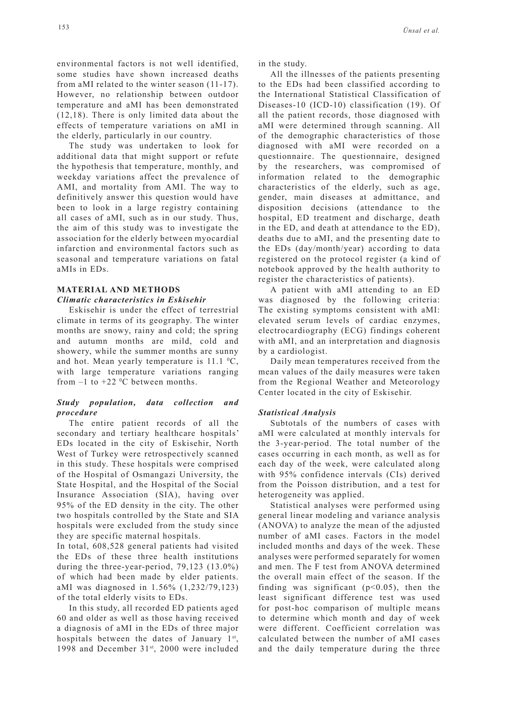environmental factors is not well identified, some studies have shown increased deaths from aMI related to the winter season (11-17). However, no relationship between outdoor temperature and aMI has been demonstrated (12,18). There is only limited data about the effects of temperature variations on aMI in the elderly, particularly in our country.

The study was undertaken to look for additional data that might support or refute the hypothesis that temperature, monthly, and weekday variations affect the prevalence of AMI, and mortality from AMI. The way to definitively answer this question would have been to look in a large registry containing all cases of aMI, such as in our study. Thus, the aim of this study was to investigate the association for the elderly between myocardial infarction and environmental factors such as seasonal and temperature variations on fatal aMIs in EDs.

# **MATERIAL AND METHODS**

## *Climatic characteristics in Eskisehir*

Eskisehir is under the effect of terrestrial climate in terms of its geography. The winter months are snowy, rainy and cold; the spring and autumn months are mild, cold and showery, while the summer months are sunny and hot. Mean yearly temperature is  $11.1 \text{ }^{\circ}\text{C}$ , with large temperature variations ranging from  $-1$  to  $+22$  <sup>o</sup>C between months.

## *Study population, data collection and procedure*

The entire patient records of all the secondary and tertiary healthcare hospitals' EDs located in the city of Eskisehir, North West of Turkey were retrospectively scanned in this study. These hospitals were comprised of the Hospital of Osmangazi University, the State Hospital, and the Hospital of the Social Insurance Association (SIA), having over 95% of the ED density in the city. The other two hospitals controlled by the State and SIA hospitals were excluded from the study since they are specific maternal hospitals.

In total, 608,528 general patients had visited the EDs of these three health institutions during the three-year-period, 79,123 (13.0%) of which had been made by elder patients. aMI was diagnosed in 1.56% (1,232/79,123) of the total elderly visits to EDs.

In this study, all recorded ED patients aged 60 and older as well as those having received a diagnosis of aMI in the EDs of three major hospitals between the dates of January 1st, 1998 and December 31st, 2000 were included in the study.

All the illnesses of the patients presenting to the EDs had been classified according to the International Statistical Classification of Diseases-10 (ICD-10) classification (19). Of all the patient records, those diagnosed with aMI were determined through scanning. All of the demographic characteristics of those diagnosed with aMI were recorded on a questionnaire. The questionnaire, designed by the researchers, was compromised of information related to the demographic characteristics of the elderly, such as age, gender, main diseases at admittance, and disposition decisions (attendance to the hospital, ED treatment and discharge, death in the ED, and death at attendance to the ED), deaths due to aMI, and the presenting date to the EDs (day/month/year) according to data registered on the protocol register (a kind of notebook approved by the health authority to register the characteristics of patients).

A patient with aMI attending to an ED was diagnosed by the following criteria: The existing symptoms consistent with aMI: elevated serum levels of cardiac enzymes, electrocardiography (ECG) findings coherent with aMI, and an interpretation and diagnosis by a cardiologist.

Daily mean temperatures received from the mean values of the daily measures were taken from the Regional Weather and Meteorology Center located in the city of Eskisehir.

## *Statistical Analysis*

Subtotals of the numbers of cases with aMI were calculated at monthly intervals for the 3-year-period. The total number of the cases occurring in each month, as well as for each day of the week, were calculated along with 95% confidence intervals (CIs) derived from the Poisson distribution, and a test for heterogeneity was applied.

Statistical analyses were performed using general linear modeling and variance analysis (ANOVA) to analyze the mean of the adjusted number of aMI cases. Factors in the model included months and days of the week. These analyses were performed separately for women and men. The F test from ANOVA determined the overall main effect of the season. If the finding was significant  $(p<0.05)$ , then the least significant difference test was used for post-hoc comparison of multiple means to determine which month and day of week were different. Coefficient correlation was calculated between the number of aMI cases and the daily temperature during the three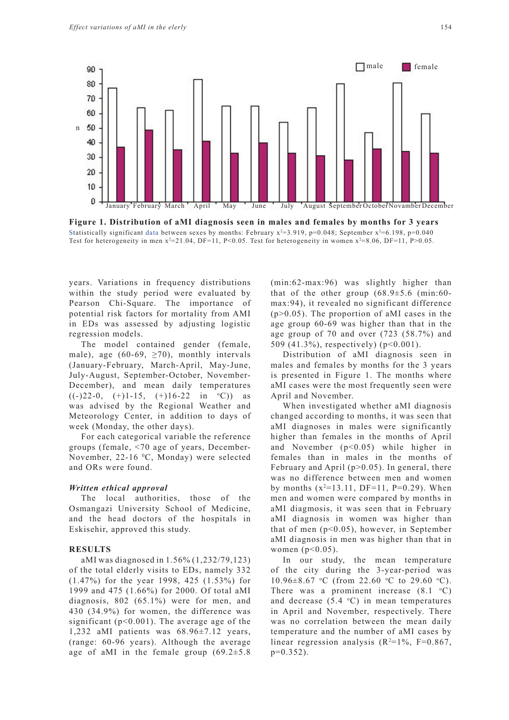

**Figure 1. Distribution of aMI diagnosis seen in males and females by months for 3 years** Statistically significant data between sexes by months: February x<sup>2</sup>=3.919, p=0.048; September x<sup>2</sup>=6.198, p=0.040 Test for heterogeneity in men  $x^2=21.04$ , DF=11, P<0.05. Test for heterogeneity in women  $x^2=8.06$ , DF=11, P>0.05.

years. Variations in frequency distributions within the study period were evaluated by Pearson Chi-Square. The importance of potential risk factors for mortality from AMI in EDs was assessed by adjusting logistic regression models.

The model contained gender (female, male), age (60-69,  $\geq$ 70), monthly intervals (January-February, March-April, May-June, July-August, September-October, November-December), and mean daily temperatures  $((-)22-0, (+)1-15, (+)16-22 \text{ in } ^\circ\text{C}))$  as was advised by the Regional Weather and Meteorology Center, in addition to days of week (Monday, the other days).

For each categorical variable the reference groups (female, <70 age of years, December-November, 22-16 <sup>o</sup>C, Monday) were selected and ORs were found.

#### *Written ethical approval*

The local authorities, those of the Osmangazi University School of Medicine, and the head doctors of the hospitals in Eskisehir, approved this study.

#### **RESULTS**

aMI was diagnosed in 1.56% (1,232/79,123) of the total elderly visits to EDs, namely 332 (1.47%) for the year 1998, 425 (1.53%) for 1999 and 475 (1.66%) for 2000. Of total aMI diagnosis, 802 (65.1%) were for men, and 430 (34.9%) for women, the difference was significant (p<0.001). The average age of the 1,232 aMI patients was 68.96±7.12 years, (range: 60-96 years). Although the average age of aMI in the female group  $(69.2 \pm 5.8)$ 

(min:62-max:96) was slightly higher than that of the other group  $(68.9\pm5.6 \text{ (min:}60\text{-}$ max:94), it revealed no significant difference  $(p>0.05)$ . The proportion of aMI cases in the age group 60-69 was higher than that in the age group of 70 and over (723 (58.7%) and 509 (41.3%), respectively) (p<0.001).

Distribution of aMI diagnosis seen in males and females by months for the 3 years is presented in Figure 1. The months where aMI cases were the most frequently seen were April and November.

When investigated whether aMI diagnosis changed according to months, it was seen that aMI diagnoses in males were significantly higher than females in the months of April and November (p<0.05) while higher in females than in males in the months of February and April  $(p>0.05)$ . In general, there was no difference between men and women by months  $(x^2=13.11, DF=11, P=0.29)$ . When men and women were compared by months in aMI diagmosis, it was seen that in February aMI diagnosis in women was higher than that of men  $(p<0.05)$ , however, in September aMI diagnosis in men was higher than that in women (p<0.05).

In our study, the mean temperature of the city during the 3-year-period was 10.96 $\pm$ 8.67 °C (from 22.60 °C to 29.60 °C). There was a prominent increase  $(8.1 \text{ }^{\circ}\text{C})$ and decrease  $(5.4 \text{ °C})$  in mean temperatures in April and November, respectively. There was no correlation between the mean daily temperature and the number of aMI cases by linear regression analysis  $(R^2=1\%, F=0.867,$  $p=0.352$ ).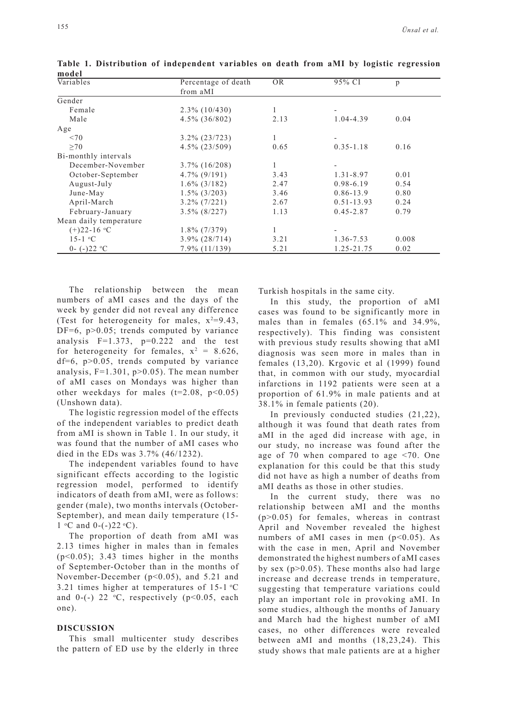| Variables              | Percentage of death | <b>OR</b> | 95% CI         | p     |
|------------------------|---------------------|-----------|----------------|-------|
|                        | from aMI            |           |                |       |
| Gender                 |                     |           |                |       |
| Female                 | $2.3\%$ (10/430)    | 1         |                |       |
| Male                   | $4.5\%$ $(36/802)$  | 2.13      | 1.04-4.39      | 0.04  |
| Age                    |                     |           |                |       |
| < 70                   | $3.2\% (23/723)$    | 1         |                |       |
| >70                    | $4.5\%$ (23/509)    | 0.65      | $0.35 - 1.18$  | 0.16  |
| Bi-monthly intervals   |                     |           |                |       |
| December-November      | $3.7\%$ (16/208)    |           |                |       |
| October-September      | $4.7\%$ (9/191)     | 3.43      | $1.31 - 8.97$  | 0.01  |
| August-July            | $1.6\%$ (3/182)     | 2.47      | $0.98 - 6.19$  | 0.54  |
| June-May               | $1.5\%$ (3/203)     | 3.46      | $0.86 - 13.9$  | 0.80  |
| April-March            | $3.2\%$ (7/221)     | 2.67      | $0.51 - 13.93$ | 0.24  |
| February-January       | $3.5\%$ (8/227)     | 1.13      | $0.45 - 2.87$  | 0.79  |
| Mean daily temperature |                     |           |                |       |
| $(+)$ 22-16 °C         | $1.8\%$ (7/379)     | 1         |                |       |
| $15-1 °C$              | $3.9\%$ $(28/714)$  | 3.21      | 1.36-7.53      | 0.008 |
| $0 - (-22 \degree C)$  | $7.9\%$ $(11/139)$  | 5.21      | 1.25-21.75     | 0.02  |

**Table 1. Distribution of independent variables on death from aMI by logistic regression model**

The relationship between the mean numbers of aMI cases and the days of the week by gender did not reveal any difference (Test for heterogeneity for males,  $x^2=9.43$ , DF=6, p>0.05; trends computed by variance analysis  $F=1.373$ ,  $p=0.222$  and the test for heterogeneity for females,  $x^2 = 8.626$ , df=6, p>0.05, trends computed by variance analysis,  $F=1.301$ ,  $p>0.05$ ). The mean number of aMI cases on Mondays was higher than other weekdays for males  $(t=2.08, p<0.05)$ (Unshown data).

The logistic regression model of the effects of the independent variables to predict death from aMI is shown in Table 1. In our study, it was found that the number of aMI cases who died in the EDs was 3.7% (46/1232).

The independent variables found to have significant effects according to the logistic regression model, performed to identify indicators of death from aMI, were as follows: gender (male), two months intervals (October-September), and mean daily temperature (15- 1 °C and 0-(-)22 °C).

The proportion of death from aMI was 2.13 times higher in males than in females  $(p<0.05)$ ; 3.43 times higher in the months of September-October than in the months of November-December (p<0.05), and 5.21 and 3.21 times higher at temperatures of  $15-1$  °C and  $0$ -(-) 22 °C, respectively ( $p$ <0.05, each one).

#### **DISCUSSION**

This small multicenter study describes the pattern of ED use by the elderly in three Turkish hospitals in the same city.

In this study, the proportion of aMI cases was found to be significantly more in males than in females (65.1% and 34.9%, respectively). This finding was consistent with previous study results showing that aMI diagnosis was seen more in males than in females (13,20). Krgovic et al (1999) found that, in common with our study, myocardial infarctions in 1192 patients were seen at a proportion of 61.9% in male patients and at 38.1% in female patients (20).

In previously conducted studies (21,22), although it was found that death rates from aMI in the aged did increase with age, in our study, no increase was found after the age of 70 when compared to age <70. One explanation for this could be that this study did not have as high a number of deaths from aMI deaths as those in other studies.

In the current study, there was no relationship between aMI and the months (p>0.05) for females, whereas in contrast April and November revealed the highest numbers of aMI cases in men  $(p<0.05)$ . As with the case in men, April and November demonstrated the highest numbers of aMI cases by sex  $(p>0.05)$ . These months also had large increase and decrease trends in temperature, suggesting that temperature variations could play an important role in provoking aMI. In some studies, although the months of January and March had the highest number of aMI cases, no other differences were revealed between aMI and months (18,23,24). This study shows that male patients are at a higher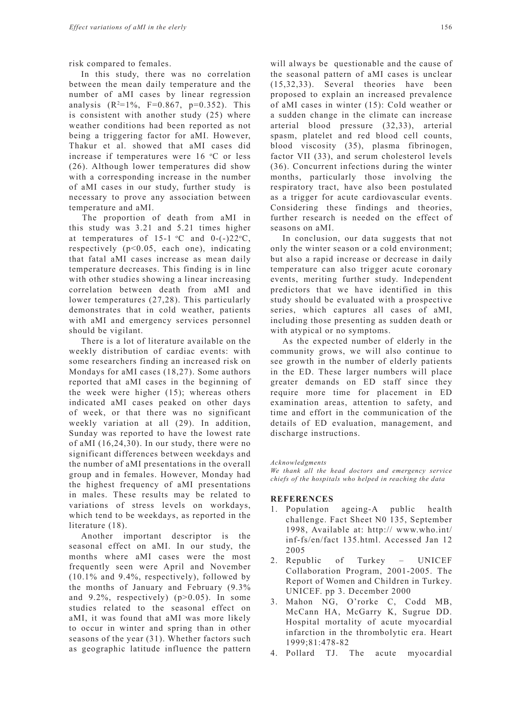risk compared to females.

In this study, there was no correlation between the mean daily temperature and the number of aMI cases by linear regression analysis  $(R^2=1\%, F=0.867, p=0.352)$ . This is consistent with another study (25) where weather conditions had been reported as not being a triggering factor for aMI. However, Thakur et al. showed that aMI cases did increase if temperatures were  $16 °C$  or less (26). Although lower temperatures did show with a corresponding increase in the number of aMI cases in our study, further study is necessary to prove any association between temperature and aMI.

 The proportion of death from aMI in this study was 3.21 and 5.21 times higher at temperatures of  $15-1$  °C and  $0-(-)22$ °C, respectively (p<0.05, each one), indicating that fatal aMI cases increase as mean daily temperature decreases. This finding is in line with other studies showing a linear increasing correlation between death from aMI and lower temperatures (27,28). This particularly demonstrates that in cold weather, patients with aMI and emergency services personnel should be vigilant.

There is a lot of literature available on the weekly distribution of cardiac events: with some researchers finding an increased risk on Mondays for aMI cases (18,27). Some authors reported that aMI cases in the beginning of the week were higher (15); whereas others indicated aMI cases peaked on other days of week, or that there was no significant weekly variation at all (29). In addition, Sunday was reported to have the lowest rate of aMI (16,24,30). In our study, there were no significant differences between weekdays and the number of aMI presentations in the overall group and in females. However, Monday had the highest frequency of aMI presentations in males. These results may be related to variations of stress levels on workdays, which tend to be weekdays, as reported in the literature (18).

Another important descriptor is the seasonal effect on aMI. In our study, the months where aMI cases were the most frequently seen were April and November (10.1% and 9.4%, respectively), followed by the months of January and February (9.3% and  $9.2\%$ , respectively) ( $p > 0.05$ ). In some studies related to the seasonal effect on aMI, it was found that aMI was more likely to occur in winter and spring than in other seasons of the year (31). Whether factors such as geographic latitude influence the pattern will always be questionable and the cause of the seasonal pattern of aMI cases is unclear (15,32,33). Several theories have been proposed to explain an increased prevalence of aMI cases in winter (15): Cold weather or a sudden change in the climate can increase arterial blood pressure (32,33), arterial spasm, platelet and red blood cell counts, blood viscosity (35), plasma fibrinogen, factor VII (33), and serum cholesterol levels (36). Concurrent infections during the winter months, particularly those involving the respiratory tract, have also been postulated as a trigger for acute cardiovascular events. Considering these findings and theories, further research is needed on the effect of seasons on aMI.

In conclusion, our data suggests that not only the winter season or a cold environment; but also a rapid increase or decrease in daily temperature can also trigger acute coronary events, meriting further study. Independent predictors that we have identified in this study should be evaluated with a prospective series, which captures all cases of aMI, including those presenting as sudden death or with atypical or no symptoms.

As the expected number of elderly in the community grows, we will also continue to see growth in the number of elderly patients in the ED. These larger numbers will place greater demands on ED staff since they require more time for placement in ED examination areas, attention to safety, and time and effort in the communication of the details of ED evaluation, management, and discharge instructions.

#### *Acknowledgments*

*We thank all the head doctors and emergency service chiefs of the hospitals who helped in reaching the data* 

## **REFERENCES**

- 1. Population ageing-A public health challenge. Fact Sheet N0 135, September 1998, Available at: http:// www.who.int/ inf-fs/en/fact 135.html. Accessed Jan 12 2005
- 2. Republic of Turkey UNICEF Collaboration Program, 2001-2005. The Report of Women and Children in Turkey. UNICEF. pp 3. December 2000
- 3. Mahon NG, O'rorke C, Codd MB, McCann HA, McGarry K, Sugrue DD. Hospital mortality of acute myocardial infarction in the thrombolytic era. Heart 1999;81:478-82
- 4. Pollard TJ. The acute myocardial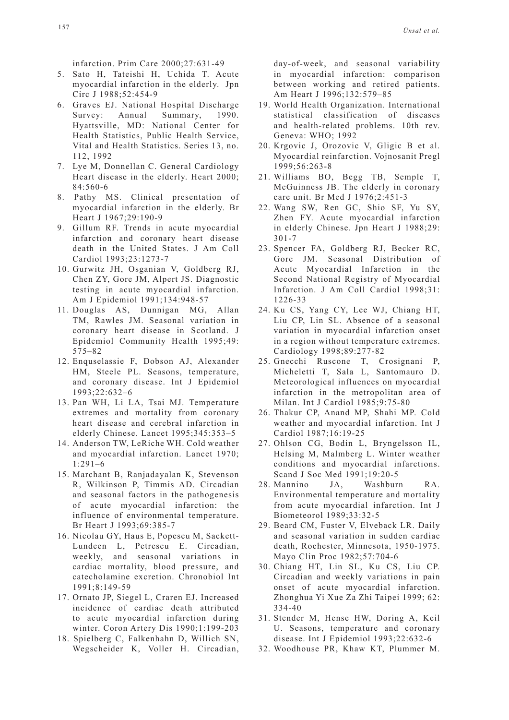infarction. Prim Care 2000;27:631-49

- 5. Sato H, Tateishi H, Uchida T. Acute myocardial infarction in the elderly. Jpn Circ J 1988;52:454-9
- 6. Graves EJ. National Hospital Discharge Survey: Annual Summary, 1990. Hyattsville, MD: National Center for Health Statistics, Public Health Service, Vital and Health Statistics. Series 13, no. 112, 1992
- 7. Lye M, Donnellan C. General Cardiology Heart disease in the elderly. Heart 2000; 84:560-6
- 8. Pathy MS. Clinical presentation of myocardial infarction in the elderly. Br Heart J 1967;29:190-9
- 9. Gillum RF. Trends in acute myocardial infarction and coronary heart disease death in the United States. J Am Coll Cardiol 1993;23:1273-7
- 10. Gurwitz JH, Osganian V, Goldberg RJ, Chen ZY, Gore JM, Alpert JS. Diagnostic testing in acute myocardial infarction. Am J Epidemiol 1991;134:948-57
- 11. Douglas AS, Dunnigan MG, Allan TM, Rawles JM. Seasonal variation in coronary heart disease in Scotland. J Epidemiol Community Health 1995;49: 575–82
- 12. Enquselassie F, Dobson AJ, Alexander HM, Steele PL. Seasons, temperature, and coronary disease. Int J Epidemiol 1993;22:632–6
- 13. Pan WH, Li LA, Tsai MJ. Temperature extremes and mortality from coronary heart disease and cerebral infarction in elderly Chinese. Lancet 1995;345:353–5
- 14. Anderson TW, LeRiche WH. Cold weather and myocardial infarction. Lancet 1970; 1:291–6
- 15. Marchant B, Ranjadayalan K, Stevenson R, Wilkinson P, Timmis AD. Circadian and seasonal factors in the pathogenesis of acute myocardial infarction: the influence of environmental temperature. Br Heart J 1993;69:385-7
- 16. Nicolau GY, Haus E, Popescu M, Sackett-Lundeen L, Petrescu E. Circadian, weekly, and seasonal variations in cardiac mortality, blood pressure, and catecholamine excretion. Chronobiol Int 1991;8:149-59
- 17. Ornato JP, Siegel L, Craren EJ. Increased incidence of cardiac death attributed to acute myocardial infarction during winter. Coron Artery Dis 1990;1:199-203
- 18. Spielberg C, Falkenhahn D, Willich SN, Wegscheider K, Voller H. Circadian,

day-of-week, and seasonal variability in myocardial infarction: comparison between working and retired patients. Am Heart J 1996;132:579–85

- 19. World Health Organization. International statistical classification of diseases and health-related problems. 10th rev. Geneva: WHO; 1992
- 20. Krgovic J, Orozovic V, Gligic B et al. Myocardial reinfarction. Vojnosanit Pregl 1999;56:263-8
- 21. Williams BO, Begg TB, Semple T, McGuinness JB. The elderly in coronary care unit. Br Med J 1976;2:451-3
- 22. Wang SW, Ren GC, Shio SF, Yu SY, Zhen FY. Acute myocardial infarction in elderly Chinese. Jpn Heart J 1988;29: 301-7
- 23. Spencer FA, Goldberg RJ, Becker RC, Gore JM. Seasonal Distribution of Acute Myocardial Infarction in the Second National Registry of Myocardial Infarction. J Am Coll Cardiol 1998;31: 1226-33
- 24. Ku CS, Yang CY, Lee WJ, Chiang HT, Liu CP, Lin SL. Absence of a seasonal variation in myocardial infarction onset in a region without temperature extremes. Cardiology 1998;89:277-82
- 25. Gnecchi Ruscone T, Crosignani P, Micheletti T, Sala L, Santomauro D. Meteorological influences on myocardial infarction in the metropolitan area of Milan. Int J Cardiol 1985;9:75-80
- 26. Thakur CP, Anand MP, Shahi MP. Cold weather and myocardial infarction. Int J Cardiol 1987;16:19-25
- 27. Ohlson CG, Bodin L, Bryngelsson IL, Helsing M, Malmberg L. Winter weather conditions and myocardial infarctions. Scand J Soc Med 1991;19:20-5
- 28. Mannino JA, Washburn RA. Environmental temperature and mortality from acute myocardial infarction. Int J Biometeorol 1989;33:32-5
- 29. Beard CM, Fuster V, Elveback LR. Daily and seasonal variation in sudden cardiac death, Rochester, Minnesota, 1950-1975. Mayo Clin Proc 1982;57:704-6
- 30. Chiang HT, Lin SL, Ku CS, Liu CP. Circadian and weekly variations in pain onset of acute myocardial infarction. Zhonghua Yi Xue Za Zhi Taipei 1999; 62: 334-40
- 31. Stender M, Hense HW, Doring A, Keil U. Seasons, temperature and coronary disease. Int J Epidemiol 1993;22:632-6
- 32. Woodhouse PR, Khaw KT, Plummer M.